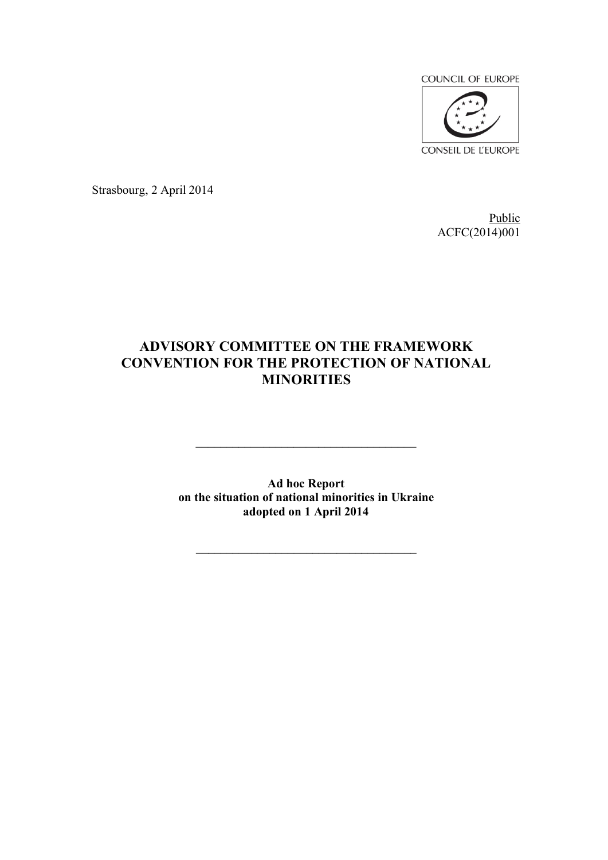

Strasbourg, 2 April 2014

Public ACFC(2014)001

# **ADVISORY COMMITTEE ON THE FRAMEWORK CONVENTION FOR THE PROTECTION OF NATIONAL MINORITIES**

**Ad hoc Report on the situation of national minorities in Ukraine adopted on 1 April 2014**

\_\_\_\_\_\_\_\_\_\_\_\_\_\_\_\_\_\_\_\_\_\_\_\_\_\_\_\_\_\_\_\_\_\_\_\_

\_\_\_\_\_\_\_\_\_\_\_\_\_\_\_\_\_\_\_\_\_\_\_\_\_\_\_\_\_\_\_\_\_\_\_\_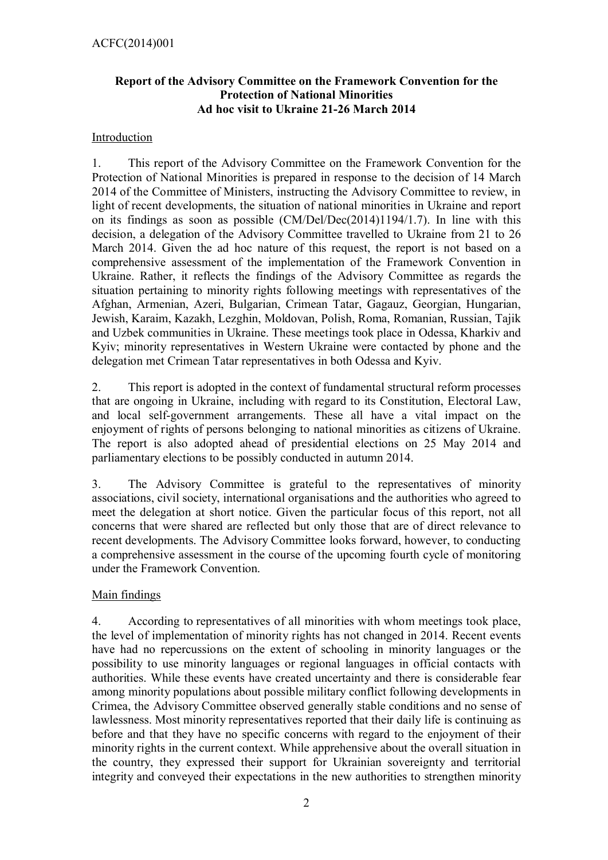## **Report of the Advisory Committee on the Framework Convention for the Protection of National Minorities Ad hoc visit to Ukraine 21-26 March 2014**

## Introduction

1. This report of the Advisory Committee on the Framework Convention for the Protection of National Minorities is prepared in response to the decision of 14 March 2014 of the Committee of Ministers, instructing the Advisory Committee to review, in light of recent developments, the situation of national minorities in Ukraine and report on its findings as soon as possible (CM/Del/Dec(2014)1194/1.7). In line with this decision, a delegation of the Advisory Committee travelled to Ukraine from 21 to 26 March 2014. Given the ad hoc nature of this request, the report is not based on a comprehensive assessment of the implementation of the Framework Convention in Ukraine. Rather, it reflects the findings of the Advisory Committee as regards the situation pertaining to minority rights following meetings with representatives of the Afghan, Armenian, Azeri, Bulgarian, Crimean Tatar, Gagauz, Georgian, Hungarian, Jewish, Karaim, Kazakh, Lezghin, Moldovan, Polish, Roma, Romanian, Russian, Tajik and Uzbek communities in Ukraine. These meetings took place in Odessa, Kharkiv and Kyiv; minority representatives in Western Ukraine were contacted by phone and the delegation met Crimean Tatar representatives in both Odessa and Kyiv.

2. This report is adopted in the context of fundamental structural reform processes that are ongoing in Ukraine, including with regard to its Constitution, Electoral Law, and local self-government arrangements. These all have a vital impact on the enjoyment of rights of persons belonging to national minorities as citizens of Ukraine. The report is also adopted ahead of presidential elections on 25 May 2014 and parliamentary elections to be possibly conducted in autumn 2014.

3. The Advisory Committee is grateful to the representatives of minority associations, civil society, international organisations and the authorities who agreed to meet the delegation at short notice. Given the particular focus of this report, not all concerns that were shared are reflected but only those that are of direct relevance to recent developments. The Advisory Committee looks forward, however, to conducting a comprehensive assessment in the course of the upcoming fourth cycle of monitoring under the Framework Convention.

## Main findings

4. According to representatives of all minorities with whom meetings took place, the level of implementation of minority rights has not changed in 2014. Recent events have had no repercussions on the extent of schooling in minority languages or the possibility to use minority languages or regional languages in official contacts with authorities. While these events have created uncertainty and there is considerable fear among minority populations about possible military conflict following developments in Crimea, the Advisory Committee observed generally stable conditions and no sense of lawlessness. Most minority representatives reported that their daily life is continuing as before and that they have no specific concerns with regard to the enjoyment of their minority rights in the current context. While apprehensive about the overall situation in the country, they expressed their support for Ukrainian sovereignty and territorial integrity and conveyed their expectations in the new authorities to strengthen minority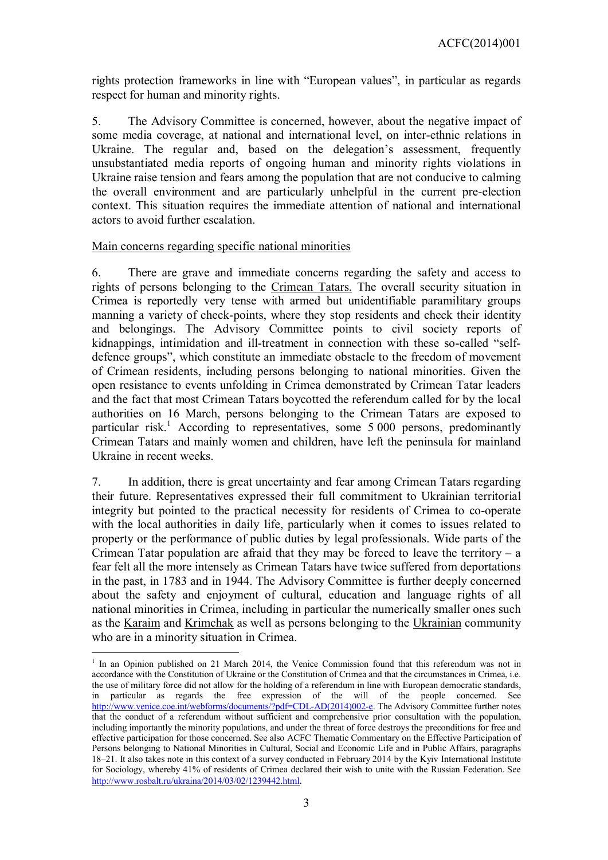rights protection frameworks in line with "European values", in particular as regards respect for human and minority rights.

5. The Advisory Committee is concerned, however, about the negative impact of some media coverage, at national and international level, on inter-ethnic relations in Ukraine. The regular and, based on the delegation's assessment, frequently unsubstantiated media reports of ongoing human and minority rights violations in Ukraine raise tension and fears among the population that are not conducive to calming the overall environment and are particularly unhelpful in the current pre-election context. This situation requires the immediate attention of national and international actors to avoid further escalation.

#### Main concerns regarding specific national minorities

<u>.</u>

6. There are grave and immediate concerns regarding the safety and access to rights of persons belonging to the Crimean Tatars. The overall security situation in Crimea is reportedly very tense with armed but unidentifiable paramilitary groups manning a variety of check-points, where they stop residents and check their identity and belongings. The Advisory Committee points to civil society reports of kidnappings, intimidation and ill-treatment in connection with these so-called "selfdefence groups", which constitute an immediate obstacle to the freedom of movement of Crimean residents, including persons belonging to national minorities. Given the open resistance to events unfolding in Crimea demonstrated by Crimean Tatar leaders and the fact that most Crimean Tatars boycotted the referendum called for by the local authorities on 16 March, persons belonging to the Crimean Tatars are exposed to particular risk.<sup>[1](#page-2-0)</sup> According to representatives, some  $5\,000$  persons, predominantly Crimean Tatars and mainly women and children, have left the peninsula for mainland Ukraine in recent weeks.

7. In addition, there is great uncertainty and fear among Crimean Tatars regarding their future. Representatives expressed their full commitment to Ukrainian territorial integrity but pointed to the practical necessity for residents of Crimea to co-operate with the local authorities in daily life, particularly when it comes to issues related to property or the performance of public duties by legal professionals. Wide parts of the Crimean Tatar population are afraid that they may be forced to leave the territory – a fear felt all the more intensely as Crimean Tatars have twice suffered from deportations in the past, in 1783 and in 1944. The Advisory Committee is further deeply concerned about the safety and enjoyment of cultural, education and language rights of all national minorities in Crimea, including in particular the numerically smaller ones such as the Karaim and Krimchak as well as persons belonging to the Ukrainian community who are in a minority situation in Crimea.

<span id="page-2-0"></span><sup>&</sup>lt;sup>1</sup> In an Opinion published on 21 March 2014, the Venice Commission found that this referendum was not in accordance with the Constitution of Ukraine or the Constitution of Crimea and that the circumstances in Crimea, i.e. the use of military force did not allow for the holding of a referendum in line with European democratic standards, in particular as regards the free expression of the will of the people concerned. See [http://www.venice.coe.int/webforms/documents/?pdf=CDL-AD\(2014\)002-e.](http://www.venice.coe.int/webforms/documents/?pdf=CDL-AD(2014)002-e) The Advisory Committee further notes that the conduct of a referendum without sufficient and comprehensive prior consultation with the population, including importantly the minority populations, and under the threat of force destroys the preconditions for free and effective participation for those concerned. See also ACFC Thematic Commentary on the Effective Participation of Persons belonging to National Minorities in Cultural, Social and Economic Life and in Public Affairs, paragraphs 18–21. It also takes note in this context of a survey conducted in February 2014 by the Kyiv International Institute for Sociology, whereby 41% of residents of Crimea declared their wish to unite with the Russian Federation. See <http://www.rosbalt.ru/ukraina/2014/03/02/1239442.html>.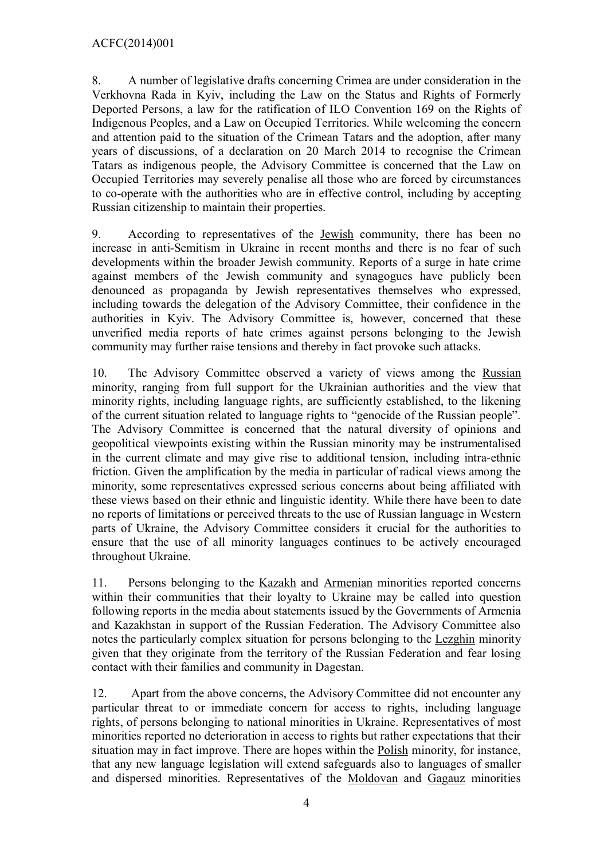8. A number of legislative drafts concerning Crimea are under consideration in the Verkhovna Rada in Kyiv, including the Law on the Status and Rights of Formerly Deported Persons, a law for the ratification of ILO Convention 169 on the Rights of Indigenous Peoples, and a Law on Occupied Territories. While welcoming the concern and attention paid to the situation of the Crimean Tatars and the adoption, after many years of discussions, of a declaration on 20 March 2014 to recognise the Crimean Tatars as indigenous people, the Advisory Committee is concerned that the Law on Occupied Territories may severely penalise all those who are forced by circumstances to co-operate with the authorities who are in effective control, including by accepting Russian citizenship to maintain their properties.

9. According to representatives of the Jewish community, there has been no increase in anti-Semitism in Ukraine in recent months and there is no fear of such developments within the broader Jewish community. Reports of a surge in hate crime against members of the Jewish community and synagogues have publicly been denounced as propaganda by Jewish representatives themselves who expressed, including towards the delegation of the Advisory Committee, their confidence in the authorities in Kyiv. The Advisory Committee is, however, concerned that these unverified media reports of hate crimes against persons belonging to the Jewish community may further raise tensions and thereby in fact provoke such attacks.

10. The Advisory Committee observed a variety of views among the Russian minority, ranging from full support for the Ukrainian authorities and the view that minority rights, including language rights, are sufficiently established, to the likening of the current situation related to language rights to "genocide of the Russian people". The Advisory Committee is concerned that the natural diversity of opinions and geopolitical viewpoints existing within the Russian minority may be instrumentalised in the current climate and may give rise to additional tension, including intra-ethnic friction. Given the amplification by the media in particular of radical views among the minority, some representatives expressed serious concerns about being affiliated with these views based on their ethnic and linguistic identity. While there have been to date no reports of limitations or perceived threats to the use of Russian language in Western parts of Ukraine, the Advisory Committee considers it crucial for the authorities to ensure that the use of all minority languages continues to be actively encouraged throughout Ukraine.

11. Persons belonging to the Kazakh and Armenian minorities reported concerns within their communities that their loyalty to Ukraine may be called into question following reports in the media about statements issued by the Governments of Armenia and Kazakhstan in support of the Russian Federation. The Advisory Committee also notes the particularly complex situation for persons belonging to the Lezghin minority given that they originate from the territory of the Russian Federation and fear losing contact with their families and community in Dagestan.

12. Apart from the above concerns, the Advisory Committee did not encounter any particular threat to or immediate concern for access to rights, including language rights, of persons belonging to national minorities in Ukraine. Representatives of most minorities reported no deterioration in access to rights but rather expectations that their situation may in fact improve. There are hopes within the Polish minority, for instance, that any new language legislation will extend safeguards also to languages of smaller and dispersed minorities. Representatives of the Moldovan and Gagauz minorities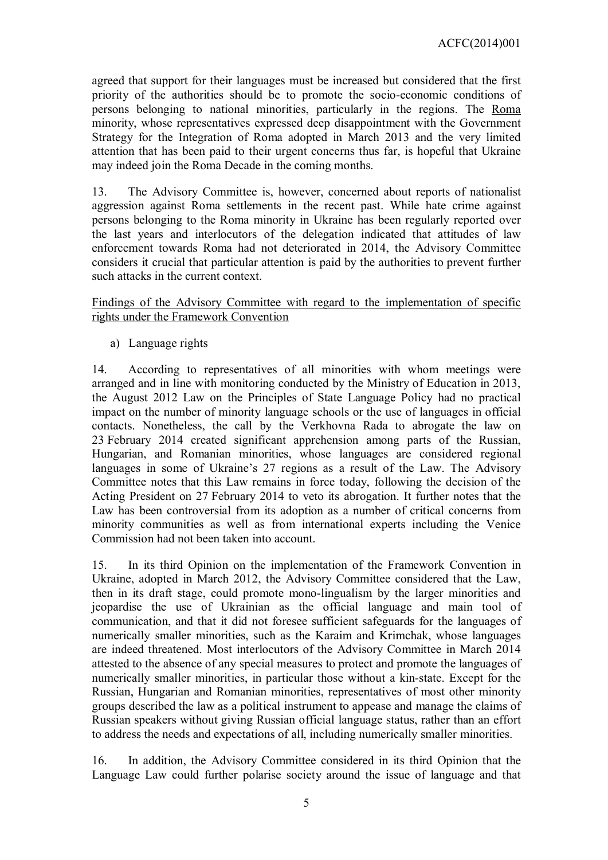agreed that support for their languages must be increased but considered that the first priority of the authorities should be to promote the socio-economic conditions of persons belonging to national minorities, particularly in the regions. The Roma minority, whose representatives expressed deep disappointment with the Government Strategy for the Integration of Roma adopted in March 2013 and the very limited attention that has been paid to their urgent concerns thus far, is hopeful that Ukraine may indeed join the Roma Decade in the coming months.

13. The Advisory Committee is, however, concerned about reports of nationalist aggression against Roma settlements in the recent past. While hate crime against persons belonging to the Roma minority in Ukraine has been regularly reported over the last years and interlocutors of the delegation indicated that attitudes of law enforcement towards Roma had not deteriorated in 2014, the Advisory Committee considers it crucial that particular attention is paid by the authorities to prevent further such attacks in the current context.

Findings of the Advisory Committee with regard to the implementation of specific rights under the Framework Convention

a) Language rights

14. According to representatives of all minorities with whom meetings were arranged and in line with monitoring conducted by the Ministry of Education in 2013, the August 2012 Law on the Principles of State Language Policy had no practical impact on the number of minority language schools or the use of languages in official contacts. Nonetheless, the call by the Verkhovna Rada to abrogate the law on 23 February 2014 created significant apprehension among parts of the Russian, Hungarian, and Romanian minorities, whose languages are considered regional languages in some of Ukraine's 27 regions as a result of the Law. The Advisory Committee notes that this Law remains in force today, following the decision of the Acting President on 27 February 2014 to veto its abrogation. It further notes that the Law has been controversial from its adoption as a number of critical concerns from minority communities as well as from international experts including the Venice Commission had not been taken into account.

15. In its third Opinion on the implementation of the Framework Convention in Ukraine, adopted in March 2012, the Advisory Committee considered that the Law, then in its draft stage, could promote mono-lingualism by the larger minorities and jeopardise the use of Ukrainian as the official language and main tool of communication, and that it did not foresee sufficient safeguards for the languages of numerically smaller minorities, such as the Karaim and Krimchak, whose languages are indeed threatened. Most interlocutors of the Advisory Committee in March 2014 attested to the absence of any special measures to protect and promote the languages of numerically smaller minorities, in particular those without a kin-state. Except for the Russian, Hungarian and Romanian minorities, representatives of most other minority groups described the law as a political instrument to appease and manage the claims of Russian speakers without giving Russian official language status, rather than an effort to address the needs and expectations of all, including numerically smaller minorities.

16. In addition, the Advisory Committee considered in its third Opinion that the Language Law could further polarise society around the issue of language and that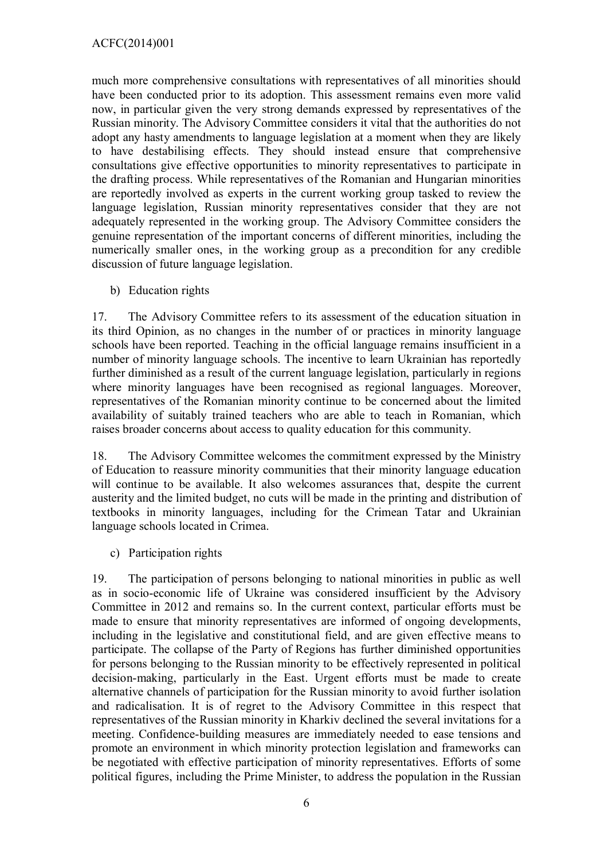much more comprehensive consultations with representatives of all minorities should have been conducted prior to its adoption. This assessment remains even more valid now, in particular given the very strong demands expressed by representatives of the Russian minority. The Advisory Committee considers it vital that the authorities do not adopt any hasty amendments to language legislation at a moment when they are likely to have destabilising effects. They should instead ensure that comprehensive consultations give effective opportunities to minority representatives to participate in the drafting process. While representatives of the Romanian and Hungarian minorities are reportedly involved as experts in the current working group tasked to review the language legislation, Russian minority representatives consider that they are not adequately represented in the working group. The Advisory Committee considers the genuine representation of the important concerns of different minorities, including the numerically smaller ones, in the working group as a precondition for any credible discussion of future language legislation.

b) Education rights

17. The Advisory Committee refers to its assessment of the education situation in its third Opinion, as no changes in the number of or practices in minority language schools have been reported. Teaching in the official language remains insufficient in a number of minority language schools. The incentive to learn Ukrainian has reportedly further diminished as a result of the current language legislation, particularly in regions where minority languages have been recognised as regional languages. Moreover, representatives of the Romanian minority continue to be concerned about the limited availability of suitably trained teachers who are able to teach in Romanian, which raises broader concerns about access to quality education for this community.

18. The Advisory Committee welcomes the commitment expressed by the Ministry of Education to reassure minority communities that their minority language education will continue to be available. It also welcomes assurances that, despite the current austerity and the limited budget, no cuts will be made in the printing and distribution of textbooks in minority languages, including for the Crimean Tatar and Ukrainian language schools located in Crimea.

c) Participation rights

19. The participation of persons belonging to national minorities in public as well as in socio-economic life of Ukraine was considered insufficient by the Advisory Committee in 2012 and remains so. In the current context, particular efforts must be made to ensure that minority representatives are informed of ongoing developments, including in the legislative and constitutional field, and are given effective means to participate. The collapse of the Party of Regions has further diminished opportunities for persons belonging to the Russian minority to be effectively represented in political decision-making, particularly in the East. Urgent efforts must be made to create alternative channels of participation for the Russian minority to avoid further isolation and radicalisation. It is of regret to the Advisory Committee in this respect that representatives of the Russian minority in Kharkiv declined the several invitations for a meeting. Confidence-building measures are immediately needed to ease tensions and promote an environment in which minority protection legislation and frameworks can be negotiated with effective participation of minority representatives. Efforts of some political figures, including the Prime Minister, to address the population in the Russian